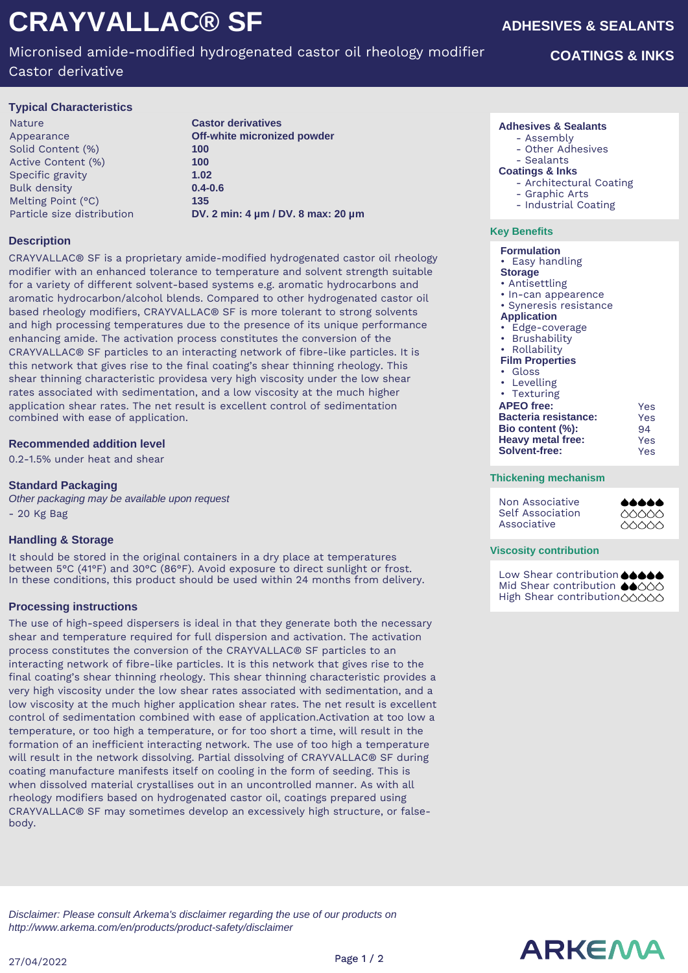# **CRAYVALLAC® SF**

# Micronised amide-modified hydrogenated castor oil rheology modifier

Castor derivative

## **Typical Characteristics**

Nature **Castor derivatives**  Solid Content (%) **100** Active Content (%) **100** Specific gravity **1.02** Bulk density **0.4-0.6** Melting Point (°C) **135**

Appearance **Off-white micronized powder** Particle size distribution **DV. 2 min: 4 µm / DV. 8 max: 20 µm**

# **Description**

CRAYVALLAC® SF is a proprietary amide-modified hydrogenated castor oil rheology modifier with an enhanced tolerance to temperature and solvent strength suitable for a variety of different solvent-based systems e.g. aromatic hydrocarbons and aromatic hydrocarbon/alcohol blends. Compared to other hydrogenated castor oil based rheology modifiers, CRAYVALLAC® SF is more tolerant to strong solvents and high processing temperatures due to the presence of its unique performance enhancing amide. The activation process constitutes the conversion of the CRAYVALLAC® SF particles to an interacting network of fibre-like particles. It is this network that gives rise to the final coating's shear thinning rheology. This shear thinning characteristic providesa very high viscosity under the low shear rates associated with sedimentation, and a low viscosity at the much higher application shear rates. The net result is excellent control of sedimentation combined with ease of application.

### **Recommended addition level**

0.2-1.5% under heat and shear

# **Standard Packaging**

Other packaging may be available upon request - 20 Kg Bag

# **Handling & Storage**

It should be stored in the original containers in a dry place at temperatures between 5°C (41°F) and 30°C (86°F). Avoid exposure to direct sunlight or frost. In these conditions, this product should be used within 24 months from delivery.

#### **Processing instructions**

The use of high-speed dispersers is ideal in that they generate both the necessary shear and temperature required for full dispersion and activation. The activation process constitutes the conversion of the CRAYVALLAC® SF particles to an interacting network of fibre-like particles. It is this network that gives rise to the final coating's shear thinning rheology. This shear thinning characteristic provides a very high viscosity under the low shear rates associated with sedimentation, and a low viscosity at the much higher application shear rates. The net result is excellent control of sedimentation combined with ease of application.Activation at too low a temperature, or too high a temperature, or for too short a time, will result in the formation of an inefficient interacting network. The use of too high a temperature will result in the network dissolving. Partial dissolving of CRAYVALLAC® SF during coating manufacture manifests itself on cooling in the form of seeding. This is when dissolved material crystallises out in an uncontrolled manner. As with all rheology modifiers based on hydrogenated castor oil, coatings prepared using CRAYVALLAC® SF may sometimes develop an excessively high structure, or falsebody.

**ADHESIVES & SEALANTS**

# **COATINGS & INKS**

#### **Adhesives & Sealants**

- Assembly
	- Other Adhesives

#### - Sealants **Coatings & Inks**

- Architectural Coating
- Graphic Arts
	- Industrial Coating

#### **Key Benefits**

#### **Formulation**

• Easy handling

- **Storage**
- Antisettling
- In-can appearence • Syneresis resistance
- **Application**
- Edge-coverage
- Brushability
- Rollability
- **Film Properties**
- Gloss
- Levelling
- Texturing

| . 5.05515                   |     |
|-----------------------------|-----|
| <b>APEO</b> free:           | Yes |
| <b>Bacteria resistance:</b> | Yes |
| Bio content (%):            | 94  |
| <b>Heavy metal free:</b>    | Yes |
| <b>Solvent-free:</b>        | Yes |

#### **Thickening mechanism**

Non Associative Self Association Associative

#### **AAAAA**  $\triangle \triangle \triangle \triangle$ 00000

#### **Viscosity contribution**

Low Shear contribution **44444** Mid Shear contribution ●●○○○ High Shear contribution00000

Disclaimer: Please consult Arkema's disclaimer regarding the use of our products on http://www.arkema.com/en/products/product-safety/disclaimer